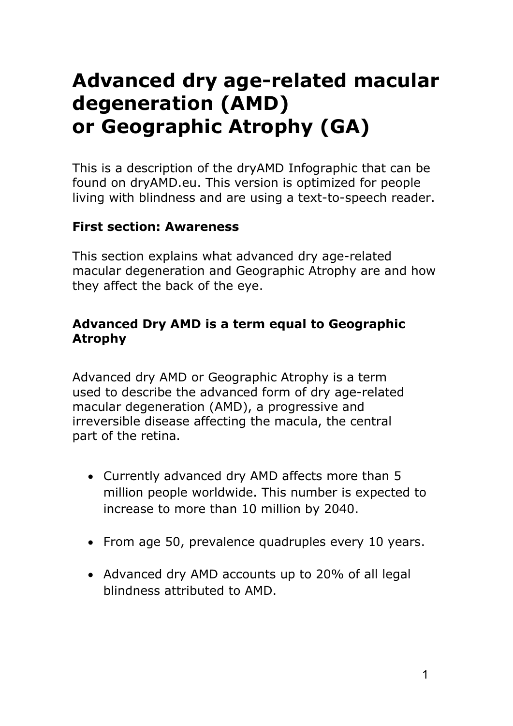# Advanced dry age-related macular degeneration (AMD) or Geographic Atrophy (GA)

This is a description of the dryAMD Infographic that can be found on dryAMD.eu. This version is optimized for people living with blindness and are using a text-to-speech reader.

#### First section: Awareness

This section explains what advanced dry age-related macular degeneration and Geographic Atrophy are and how they affect the back of the eye.

#### Advanced Dry AMD is a term equal to Geographic Atrophy

Advanced dry AMD or Geographic Atrophy is a term used to describe the advanced form of dry age-related macular degeneration (AMD), a progressive and irreversible disease affecting the macula, the central part of the retina.

- Currently advanced dry AMD affects more than 5 million people worldwide. This number is expected to increase to more than 10 million by 2040.
- From age 50, prevalence quadruples every 10 years.
- Advanced dry AMD accounts up to 20% of all legal blindness attributed to AMD.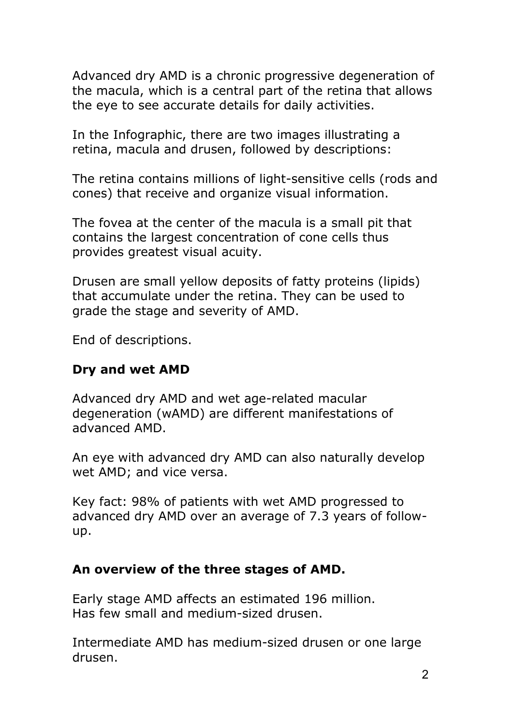Advanced dry AMD is a chronic progressive degeneration of the macula, which is a central part of the retina that allows the eye to see accurate details for daily activities.

In the Infographic, there are two images illustrating a retina, macula and drusen, followed by descriptions:

The retina contains millions of light-sensitive cells (rods and cones) that receive and organize visual information.

The fovea at the center of the macula is a small pit that contains the largest concentration of cone cells thus provides greatest visual acuity.

Drusen are small yellow deposits of fatty proteins (lipids) that accumulate under the retina. They can be used to grade the stage and severity of AMD.

End of descriptions.

#### Dry and wet AMD

Advanced dry AMD and wet age-related macular degeneration (wAMD) are different manifestations of advanced AMD.

An eye with advanced dry AMD can also naturally develop wet AMD; and vice versa.

Key fact: 98% of patients with wet AMD progressed to advanced dry AMD over an average of 7.3 years of followup.

#### An overview of the three stages of AMD.

Early stage AMD affects an estimated 196 million. Has few small and medium-sized drusen.

Intermediate AMD has medium-sized drusen or one large drusen.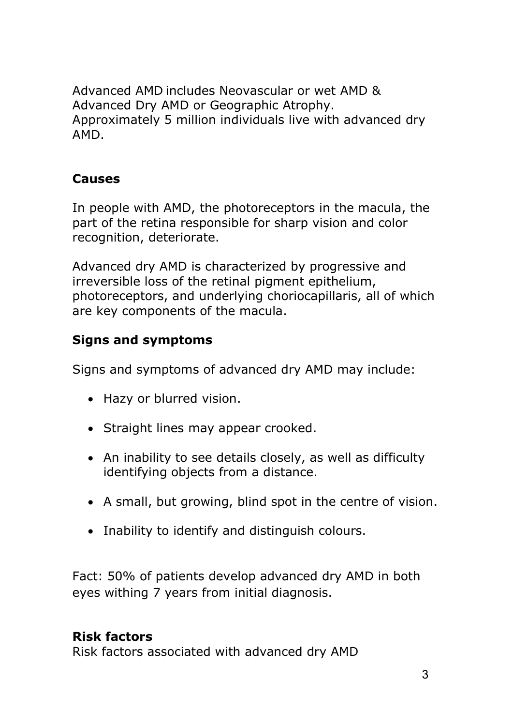Advanced AMD includes Neovascular or wet AMD & Advanced Dry AMD or Geographic Atrophy. Approximately 5 million individuals live with advanced dry AMD.

### Causes

In people with AMD, the photoreceptors in the macula, the part of the retina responsible for sharp vision and color recognition, deteriorate.

Advanced dry AMD is characterized by progressive and irreversible loss of the retinal pigment epithelium, photoreceptors, and underlying choriocapillaris, all of which are key components of the macula.

# Signs and symptoms

Signs and symptoms of advanced dry AMD may include:

- Hazy or blurred vision.
- Straight lines may appear crooked.
- An inability to see details closely, as well as difficulty identifying objects from a distance.
- A small, but growing, blind spot in the centre of vision.
- Inability to identify and distinguish colours.

Fact: 50% of patients develop advanced dry AMD in both eyes withing 7 years from initial diagnosis.

# Risk factors

Risk factors associated with advanced dry AMD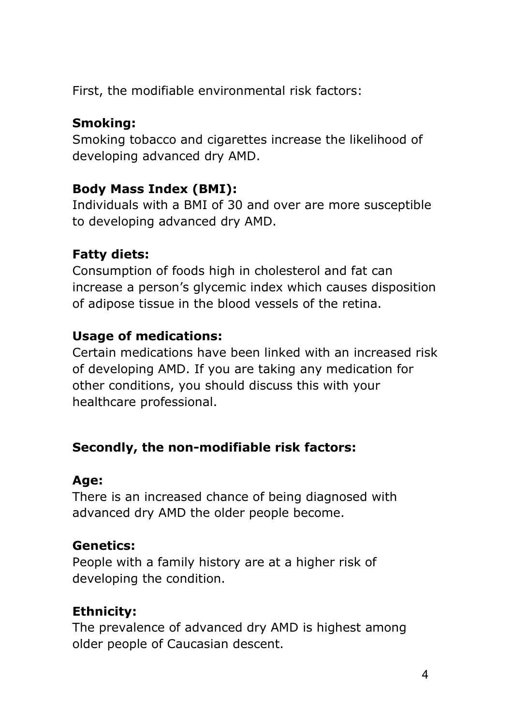First, the modifiable environmental risk factors:

## Smoking:

Smoking tobacco and cigarettes increase the likelihood of developing advanced dry AMD.

# Body Mass Index (BMI):

Individuals with a BMI of 30 and over are more susceptible to developing advanced dry AMD.

# Fatty diets:

Consumption of foods high in cholesterol and fat can increase a person's glycemic index which causes disposition of adipose tissue in the blood vessels of the retina.

# Usage of medications:

Certain medications have been linked with an increased risk of developing AMD. If you are taking any medication for other conditions, you should discuss this with your healthcare professional.

# Secondly, the non-modifiable risk factors:

# Age:

There is an increased chance of being diagnosed with advanced dry AMD the older people become.

# Genetics:

People with a family history are at a higher risk of developing the condition.

# Ethnicity:

The prevalence of advanced dry AMD is highest among older people of Caucasian descent.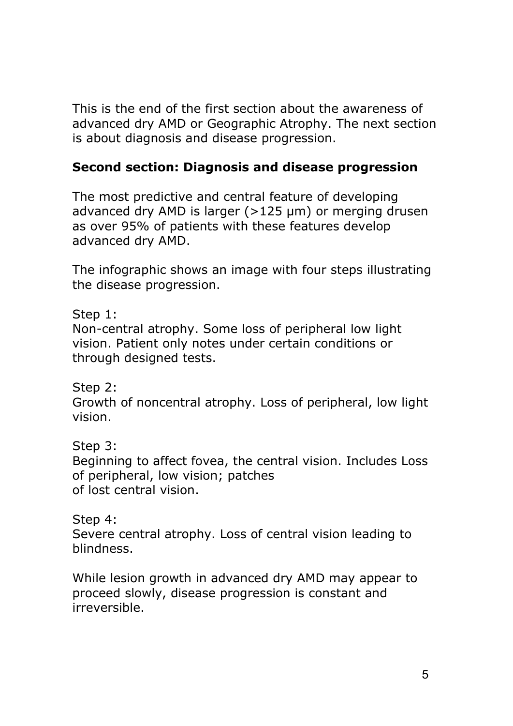This is the end of the first section about the awareness of advanced dry AMD or Geographic Atrophy. The next section is about diagnosis and disease progression.

#### Second section: Diagnosis and disease progression

The most predictive and central feature of developing advanced dry AMD is larger  $(>125 \mu m)$  or merging drusen as over 95% of patients with these features develop advanced dry AMD.

The infographic shows an image with four steps illustrating the disease progression.

Step 1:

Non-central atrophy. Some loss of peripheral low light vision. Patient only notes under certain conditions or through designed tests.

Step 2:

Growth of noncentral atrophy. Loss of peripheral, low light vision.

Step 3:

Beginning to affect fovea, the central vision. Includes Loss of peripheral, low vision; patches of lost central vision.

Step 4:

Severe central atrophy. Loss of central vision leading to blindness.

While lesion growth in advanced dry AMD may appear to proceed slowly, disease progression is constant and irreversible.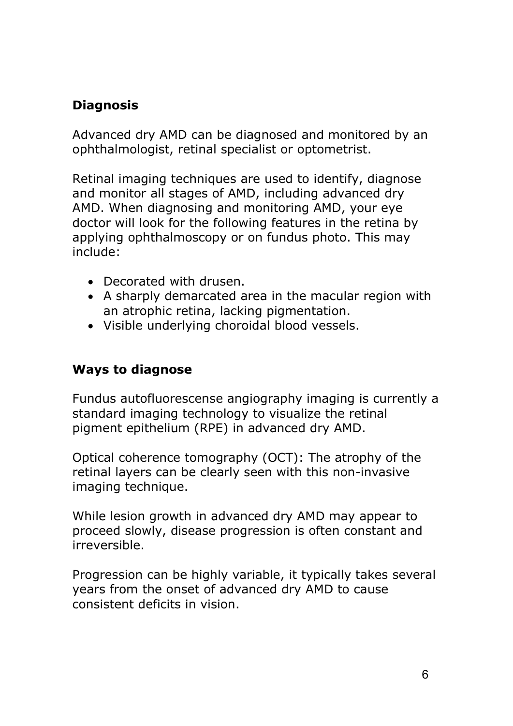### **Diagnosis**

Advanced dry AMD can be diagnosed and monitored by an ophthalmologist, retinal specialist or optometrist.

Retinal imaging techniques are used to identify, diagnose and monitor all stages of AMD, including advanced dry AMD. When diagnosing and monitoring AMD, your eye doctor will look for the following features in the retina by applying ophthalmoscopy or on fundus photo. This may include:

- Decorated with drusen.
- A sharply demarcated area in the macular region with an atrophic retina, lacking pigmentation.
- Visible underlying choroidal blood vessels.

#### Ways to diagnose

Fundus autofluorescense angiography imaging is currently a standard imaging technology to visualize the retinal pigment epithelium (RPE) in advanced dry AMD.

Optical coherence tomography (OCT): The atrophy of the retinal layers can be clearly seen with this non-invasive imaging technique.

While lesion growth in advanced dry AMD may appear to proceed slowly, disease progression is often constant and irreversible.

Progression can be highly variable, it typically takes several years from the onset of advanced dry AMD to cause consistent deficits in vision.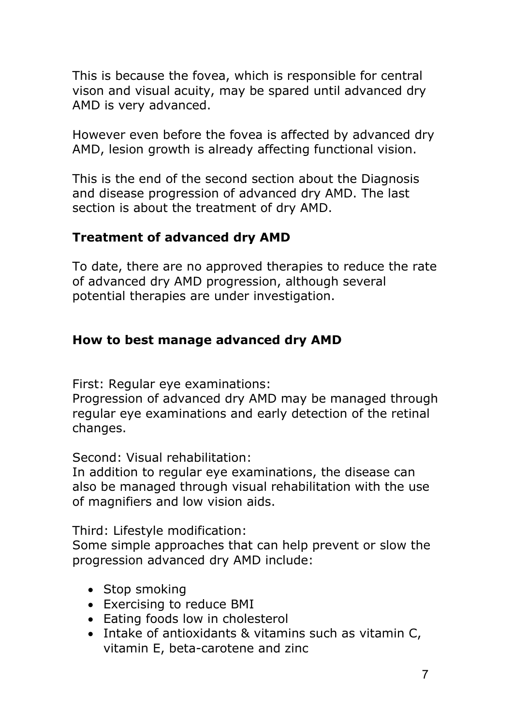This is because the fovea, which is responsible for central vison and visual acuity, may be spared until advanced dry AMD is very advanced.

However even before the fovea is affected by advanced dry AMD, lesion growth is already affecting functional vision.

This is the end of the second section about the Diagnosis and disease progression of advanced dry AMD. The last section is about the treatment of dry AMD.

#### Treatment of advanced dry AMD

To date, there are no approved therapies to reduce the rate of advanced dry AMD progression, although several potential therapies are under investigation.

#### How to best manage advanced dry AMD

First: Regular eye examinations:

Progression of advanced dry AMD may be managed through regular eye examinations and early detection of the retinal changes.

Second: Visual rehabilitation:

In addition to regular eye examinations, the disease can also be managed through visual rehabilitation with the use of magnifiers and low vision aids.

Third: Lifestyle modification:

Some simple approaches that can help prevent or slow the progression advanced dry AMD include:

- Stop smoking
- Exercising to reduce BMI
- Eating foods low in cholesterol
- Intake of antioxidants & vitamins such as vitamin C, vitamin E, beta-carotene and zinc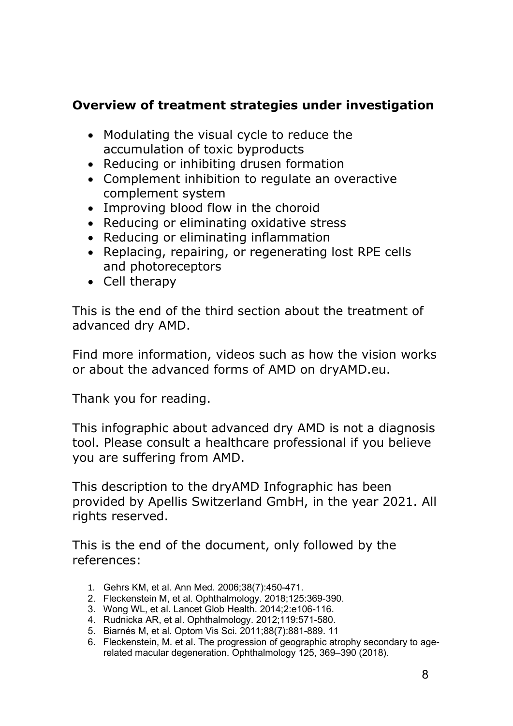#### Overview of treatment strategies under investigation

- Modulating the visual cycle to reduce the accumulation of toxic byproducts
- Reducing or inhibiting drusen formation
- Complement inhibition to regulate an overactive complement system
- Improving blood flow in the choroid
- Reducing or eliminating oxidative stress
- Reducing or eliminating inflammation
- Replacing, repairing, or regenerating lost RPE cells and photoreceptors
- Cell therapy

This is the end of the third section about the treatment of advanced dry AMD.

Find more information, videos such as how the vision works or about the advanced forms of AMD on dryAMD.eu.

Thank you for reading.

This infographic about advanced dry AMD is not a diagnosis tool. Please consult a healthcare professional if you believe you are suffering from AMD.

This description to the dryAMD Infographic has been provided by Apellis Switzerland GmbH, in the year 2021. All rights reserved.

This is the end of the document, only followed by the references:

- 1. Gehrs KM, et al. Ann Med. 2006;38(7):450-471.
- 2. Fleckenstein M, et al. Ophthalmology. 2018;125:369-390.
- 3. Wong WL, et al. Lancet Glob Health. 2014;2:e106-116.
- 4. Rudnicka AR, et al. Ophthalmology. 2012;119:571-580.
- 5. Biarnés M, et al. Optom Vis Sci. 2011;88(7):881-889. 11
- 6. Fleckenstein, M. et al. The progression of geographic atrophy secondary to agerelated macular degeneration. Ophthalmology 125, 369–390 (2018).